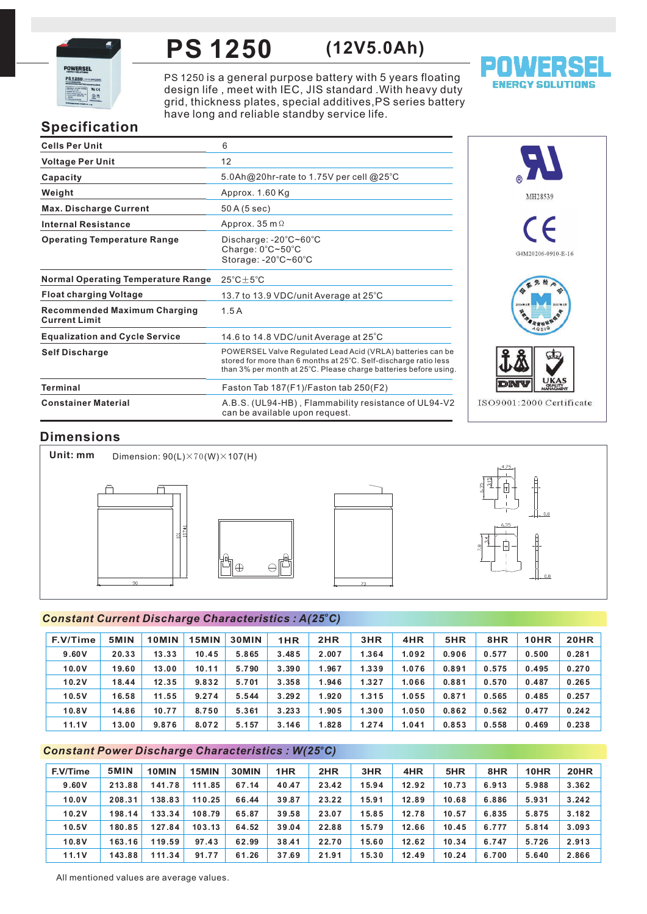

### **PS 1250 (12V5.0Ah)**

PS 1250 is a general purpose battery with 5 years floating design life , meet with IEC, JIS standard .With heavy duty grid, thickness plates, special additives,PS series battery have long and reliable standby service life.



# **Specification**

| <b>Cells Per Unit</b>                                       | 6                                                                                                                                                                                                  |
|-------------------------------------------------------------|----------------------------------------------------------------------------------------------------------------------------------------------------------------------------------------------------|
| <b>Voltage Per Unit</b>                                     | 12                                                                                                                                                                                                 |
| Capacity                                                    | 5.0Ah@20hr-rate to 1.75V per cell @25°C                                                                                                                                                            |
| Weight                                                      | Approx. 1.60 Kg                                                                                                                                                                                    |
| <b>Max. Discharge Current</b>                               | 50 A (5 sec)                                                                                                                                                                                       |
| <b>Internal Resistance</b>                                  | Approx. 35 m $\Omega$                                                                                                                                                                              |
| <b>Operating Temperature Range</b>                          | Discharge: $-20^{\circ}$ C $\sim$ 60 $^{\circ}$ C<br>Charge: $0^{\circ}$ C $\sim$ 50 $^{\circ}$ C<br>Storage: -20°C~60°C                                                                           |
| <b>Normal Operating Temperature Range</b>                   | $25^{\circ}$ C $\pm$ 5 $^{\circ}$ C                                                                                                                                                                |
| <b>Float charging Voltage</b>                               | 13.7 to 13.9 VDC/unit Average at 25°C                                                                                                                                                              |
| <b>Recommended Maximum Charging</b><br><b>Current Limit</b> | 1.5A                                                                                                                                                                                               |
| <b>Equalization and Cycle Service</b>                       | 14.6 to 14.8 VDC/unit Average at $25^{\circ}$ C                                                                                                                                                    |
| <b>Self Discharge</b>                                       | POWERSEL Valve Regulated Lead Acid (VRLA) batteries can be<br>stored for more than 6 months at 25°C. Self-discharge ratio less<br>than 3% per month at 25°C. Please charge batteries before using. |
| <b>Terminal</b>                                             | Faston Tab 187(F1)/Faston tab 250(F2)                                                                                                                                                              |
| <b>Constainer Material</b>                                  | A.B.S. (UL94-HB), Flammability resistance of UL94-V2<br>can be available upon request.                                                                                                             |



# **Dimensions**

**Unit: mm** Dimension:  $90(L) \times 70(W) \times 107(H)$ P 門⊕  $\ominus$ 

### *<sup>o</sup> Constant Current Discharge Characteristics : A(25 C)*

| F.V/Time | 5MIN  | 10MIN | 15MIN | <b>30MIN</b> | 1HR   | 2HR   | 3HR   | 4HR   | 5HR   | 8HR   | <b>10HR</b> | <b>20HR</b> |
|----------|-------|-------|-------|--------------|-------|-------|-------|-------|-------|-------|-------------|-------------|
| 9.60V    | 20.33 | 13.33 | 10.45 | 5.865        | 3.485 | 2.007 | 1.364 | 1.092 | 0.906 | 0.577 | 0.500       | 0.281       |
| 10.0V    | 19.60 | 13.00 | 10.11 | 5.790        | 3.390 | 1.967 | 1.339 | 1.076 | 0.891 | 0.575 | 0.495       | 0.270       |
| 10.2V    | 18.44 | 12.35 | 9.832 | 5.701        | 3.358 | 1.946 | 1.327 | 1.066 | 0.881 | 0.570 | 0.487       | 0.265       |
| 10.5V    | 16.58 | 11.55 | 9.274 | 5.544        | 3.292 | 1.920 | 1.315 | 1.055 | 0.871 | 0.565 | 0.485       | 0.257       |
| 10.8V    | 14.86 | 10.77 | 8.750 | 5.361        | 3.233 | 1.905 | 1.300 | 1.050 | 0.862 | 0.562 | 0.477       | 0.242       |
| 11.1V    | 13.00 | 9.876 | 8.072 | 5.157        | 3.146 | 1.828 | 1.274 | 1.041 | 0.853 | 0.558 | 0.469       | 0.238       |

### *<sup>o</sup> Constant Power Discharge Characteristics : W(25 C)*

| F.V/Time | 5MIN   | 10MIN  | 15MIN  | 30MIN | 1HR   | 2HR   | 3HR   | 4HR   | 5HR   | 8HR   | 10HR  | <b>20HR</b> |
|----------|--------|--------|--------|-------|-------|-------|-------|-------|-------|-------|-------|-------------|
| 9.60V    | 213.88 | 141.78 | 111.85 | 67.14 | 40.47 | 23.42 | 15.94 | 12.92 | 10.73 | 6.913 | 5.988 | 3.362       |
| 10.0V    | 208.31 | 138.83 | 110.25 | 66.44 | 39.87 | 23.22 | 15.91 | 12.89 | 10.68 | 6.886 | 5.931 | 3.242       |
| 10.2V    | 198.14 | 133.34 | 108.79 | 65.87 | 39.58 | 23.07 | 15.85 | 12.78 | 10.57 | 6.835 | 5.875 | 3.182       |
| 10.5V    | 180.85 | 127.84 | 103.13 | 64.52 | 39.04 | 22.88 | 15.79 | 12.66 | 10.45 | 6.777 | 5.814 | 3.093       |
| 10.8V    | 163.16 | 119.59 | 97.43  | 62.99 | 38.41 | 22.70 | 15.60 | 12.62 | 10.34 | 6.747 | 5.726 | 2.913       |
| 11.1V    | 143.88 | 111.34 | 91.77  | 61.26 | 37.69 | 21.91 | 15.30 | 12.49 | 10.24 | 6.700 | 5.640 | 2.866       |

All mentioned values are average values.